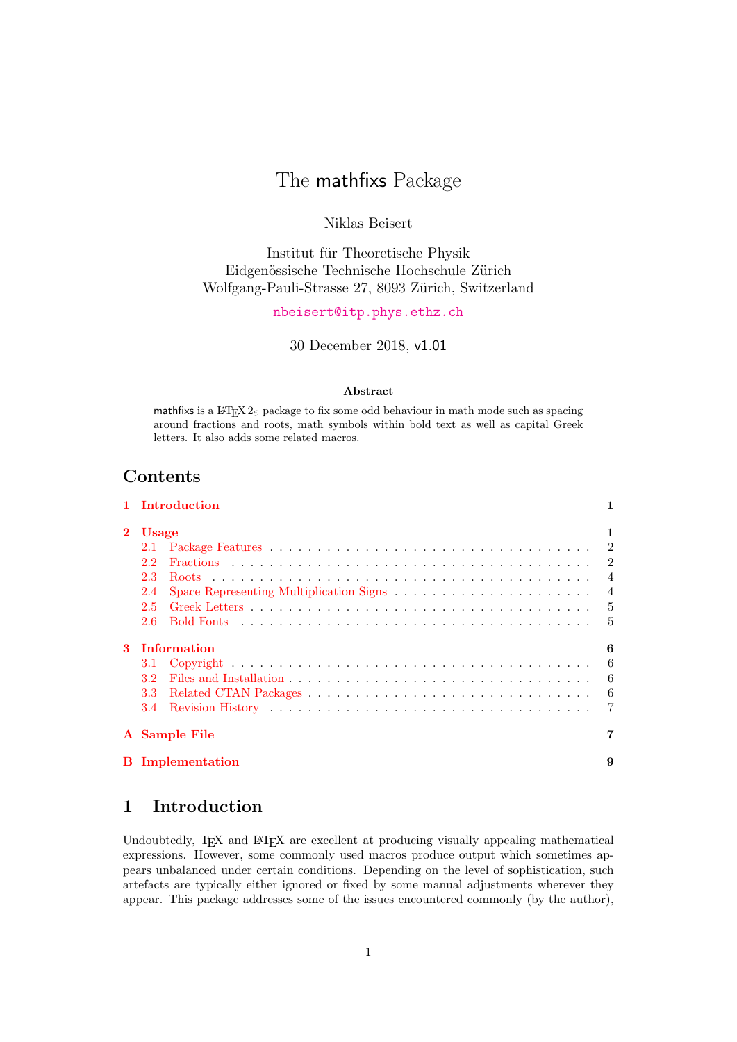# The mathfixs Package

# Niklas Beisert

Institut für Theoretische Physik Eidgenössische Technische Hochschule Zürich Wolfgang-Pauli-Strasse 27, 8093 Zürich, Switzerland

## [nbeisert@itp.phys.ethz.ch](mailto:nbeisert@itp.phys.ethz.ch)

30 December 2018, v1.01

#### Abstract

mathfixs is a LAT<sub>E</sub>X  $2\varepsilon$  package to fix some odd behaviour in math mode such as spacing around fractions and roots, math symbols within bold text as well as capital Greek letters. It also adds some related macros.

# Contents

|          | 1 Introduction          | 1              |
|----------|-------------------------|----------------|
| $\bf{2}$ | <b>Usage</b>            | 1              |
|          |                         |                |
|          | 2.2                     |                |
|          | 2.3                     |                |
|          | 2.4                     |                |
|          | $2.5^{\circ}$           |                |
|          | 2.6                     |                |
| 3        | Information             | 6              |
|          |                         | 6              |
|          | 3.2 <sub>1</sub>        | 6              |
|          |                         | 6              |
|          |                         | $\overline{7}$ |
|          | A Sample File           | 7              |
|          | <b>B</b> Implementation | 9              |

# <span id="page-0-0"></span>1 Introduction

Undoubtedly, T<sub>EX</sub> and L<sup>AT</sup>E<sub>X</sub> are excellent at producing visually appealing mathematical expressions. However, some commonly used macros produce output which sometimes appears unbalanced under certain conditions. Depending on the level of sophistication, such artefacts are typically either ignored or fixed by some manual adjustments wherever they appear. This package addresses some of the issues encountered commonly (by the author),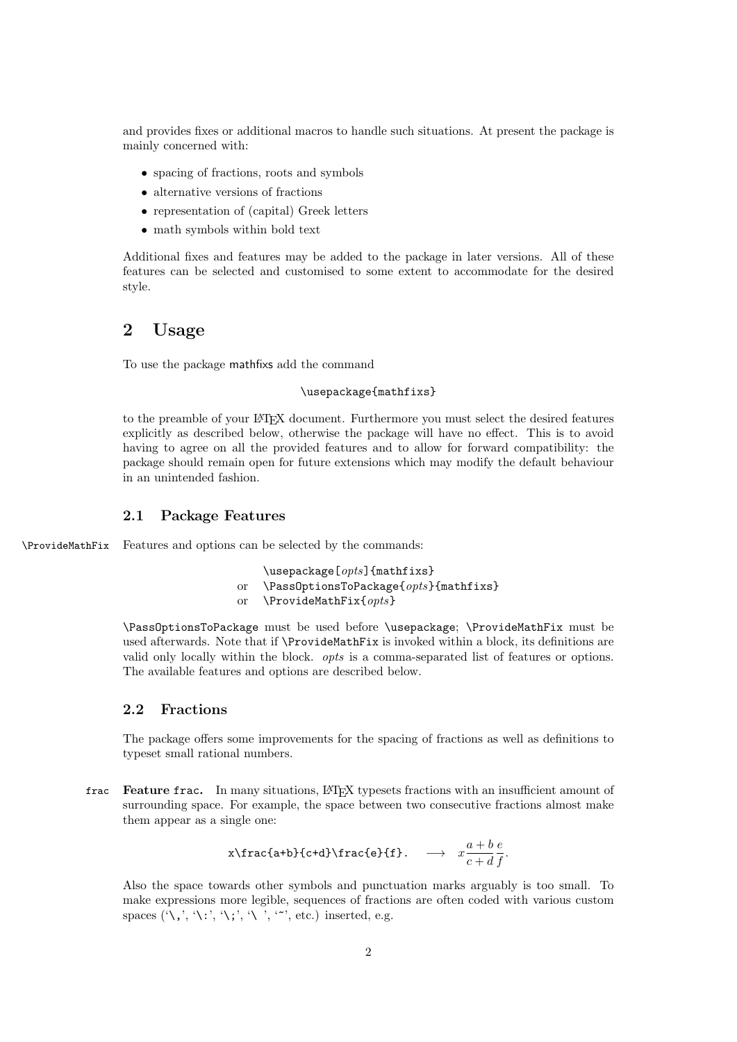and provides fixes or additional macros to handle such situations. At present the package is mainly concerned with:

- spacing of fractions, roots and symbols
- alternative versions of fractions
- representation of (capital) Greek letters
- math symbols within bold text

Additional fixes and features may be added to the package in later versions. All of these features can be selected and customised to some extent to accommodate for the desired style.

# <span id="page-1-0"></span>2 Usage

To use the package mathfixs add the command

### \usepackage{mathfixs}

to the preamble of your LATEX document. Furthermore you must select the desired features explicitly as described below, otherwise the package will have no effect. This is to avoid having to agree on all the provided features and to allow for forward compatibility: the package should remain open for future extensions which may modify the default behaviour in an unintended fashion.

### <span id="page-1-1"></span>2.1 Package Features

\ProvideMathFix Features and options can be selected by the commands:

\usepackage[opts]{mathfixs} or  $\Omega$ PassOptionsToPackage{opts}{mathfixs} or  $\PrevideMathFix\{opts\}$ 

\PassOptionsToPackage must be used before \usepackage; \ProvideMathFix must be used afterwards. Note that if \ProvideMathFix is invoked within a block, its definitions are valid only locally within the block. opts is a comma-separated list of features or options. The available features and options are described below.

## <span id="page-1-2"></span>2.2 Fractions

The package offers some improvements for the spacing of fractions as well as definitions to typeset small rational numbers.

frac Feature frac. In many situations, LATEX typesets fractions with an insufficient amount of surrounding space. For example, the space between two consecutive fractions almost make them appear as a single one:

$$
x\frac{a+b}{c+d}\frac{e}{f}. \longrightarrow x\frac{a+b}{c+d}.
$$

Also the space towards other symbols and punctuation marks arguably is too small. To make expressions more legible, sequences of fractions are often coded with various custom spaces  $(\',\',\',\';\!,\',\',\ ',\ ',\ ',\ ;\$ . etc.) inserted, e.g.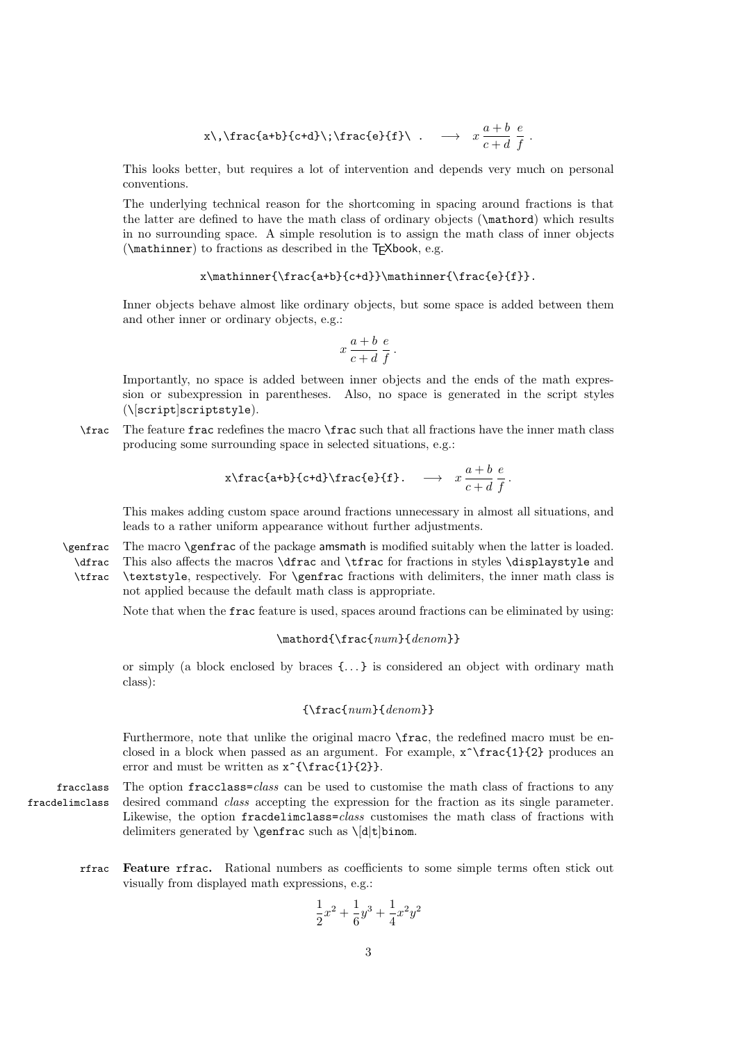$$
x\setminus,\text{frac{a+b}{c+d}}\setminus;\text{frac{e}{f}}\setminus\ldots\longrightarrow x\frac{a+b}{c+d}\frac{e}{f}.
$$

This looks better, but requires a lot of intervention and depends very much on personal conventions.

The underlying technical reason for the shortcoming in spacing around fractions is that the latter are defined to have the math class of ordinary objects (\mathord) which results in no surrounding space. A simple resolution is to assign the math class of inner objects  $(\mathcal{L}, \mathcal{L})$  to fractions as described in the T<sub>F</sub>Xbook, e.g.

$$
\verb|\math| = \verb|\math| = \verb|\math| = \verb|\math| = \verb|\math| = \verb|\math| = \verb|\math| = \verb|\math| = \verb|\math| = \verb|\math| = \verb|\math| = \verb|\math| = \verb|\math| = \verb|\math| = \verb|\math| = \verb|\math| = \verb|\math| = \verb|\math| = \verb|\math| = \verb|\math| = \verb|\math| = \verb|\math| = \verb|\math| = \verb|\math| = \verb|\math| = \verb|\math| = \verb|\math| = \verb|\math| = \verb|\math| = \verb|\math| = \verb|\math| = \verb|\math| = \verb|\math| = \verb|\math| = \verb|\math| = \verb|\math| = \verb|\math| = \verb|\math| = \verb|\math| = \verb|\math| = \verb|\math| = \verb|\math| = \verb|\math| = \verb|\math| = \verb|\math| = \verb|\math| = \verb|\math| = \verb|\math| = \verb|\math| = \verb|\math| = \verb|\math| = \verb|\math| = \verb|\math| = \verb|\math| = \verb|\math| = \verb|\math| = \verb|\math| = \verb|\math| = \verb|\math| = \verb|\math| = \verb|\math| = \verb|\math| = \verb|\math| = \verb|\math| = \verb|\math| = \verb|\math| = \verb|\math| = \verb|\math| = \verb|\math| = \verb|\math| = \verb|\math| = \verb|\math| = \verb|\math| = \verb|\math| = \verb|\math| = \verb|\math| = \verb|\math| = \verb|\math| = \verb|\math| = \verb|\math| = \verb|\math| = \verb|\math| = \verb|\math| = \verb|\math| = \verb|\math| = \verb|\math| = \verb|\math| = \verb|\math| = \verb|\math| = \verb|\math| = \verb|\math| = \verb|\math| = \verb|\math| = \verb|\math| = \verb|\math| = \verb|\math| = \verb|\math| = \verb|\math| = \verb|\math| = \verb|\math| = \verb|\math| = \verb|\math| = \verb|\math| = \verb|\math| = \verb|\math| = \verb|\math| = \verb|\math| = \verb|\math| = \verb|\math| = \verb|\math| = \verb|\math| = \verb|\math| = \verb|\math| = \verb|\math| = \verb|\math| = \verb|\math| = \verb|\math| = \verb|\math| = \verb|\math| = \verb|\math| = \verb|\math| = \verb|\math| = \verb|\math| = \verb|\math| = \verb|\math| = \verb|\math| = \verb|\math
$$

Inner objects behave almost like ordinary objects, but some space is added between them and other inner or ordinary objects, e.g.:

$$
x\frac{a+b}{c+d}\frac{e}{f}.
$$

Importantly, no space is added between inner objects and the ends of the math expression or subexpression in parentheses. Also, no space is generated in the script styles (\[script]scriptstyle).

\frac The feature frac redefines the macro \frac such that all fractions have the inner math class producing some surrounding space in selected situations, e.g.:

$$
x\frac{a+b}{c+d}\frac{e}{f}. \longrightarrow x \frac{a+b}{c+d} \frac{e}{f}.
$$

This makes adding custom space around fractions unnecessary in almost all situations, and leads to a rather uniform appearance without further adjustments.

\genfrac The macro \genfrac of the package amsmath is modified suitably when the latter is loaded. \dfrac \tfrac This also affects the macros \dfrac and \tfrac for fractions in styles \displaystyle and \textstyle, respectively. For \genfrac fractions with delimiters, the inner math class is not applied because the default math class is appropriate.

Note that when the frac feature is used, spaces around fractions can be eliminated by using:

#### $\mathcal{\frac{\num}{denom}}$

or simply (a block enclosed by braces {. . . } is considered an object with ordinary math class):

### ${\frac{num}{denom}}$

Furthermore, note that unlike the original macro  $\frac{\frac{1}{2}}{1 - \frac{1}{2}}$  frac, the redefined macro must be enclosed in a block when passed as an argument. For example,  $\mathbf{x}^{\text{target}}$  produces an error and must be written as  $x^{\frac{1}{2}}$ .

fracclass The option fracclass=class can be used to customise the math class of fractions to any fracdelimclass desired command class accepting the expression for the fraction as its single parameter. Likewise, the option fracdelimclass=class customises the math class of fractions with delimiters generated by  $\genfrac{\cdots}{\cdots}{\cdots}{\cdots}$ 

rfrac Feature rfrac. Rational numbers as coefficients to some simple terms often stick out visually from displayed math expressions, e.g.:

$$
\frac{1}{2}x^2 + \frac{1}{6}y^3 + \frac{1}{4}x^2y^2
$$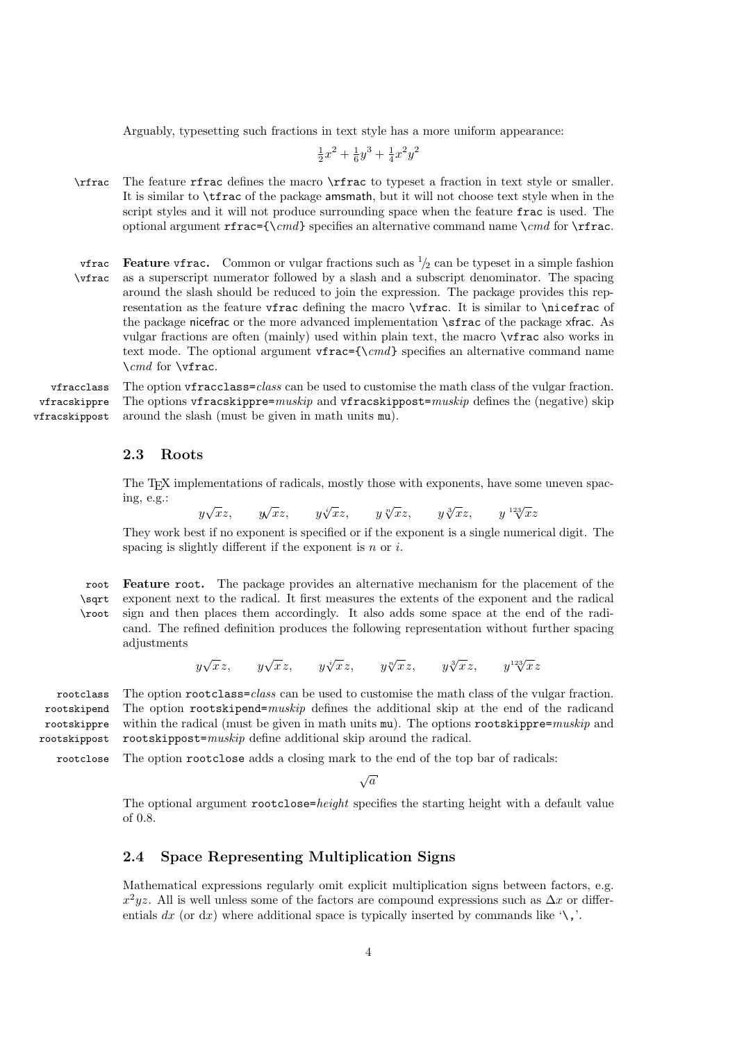Arguably, typesetting such fractions in text style has a more uniform appearance:

$$
\frac{1}{2}x^2 + \frac{1}{6}y^3 + \frac{1}{4}x^2y^2
$$

- \rfrac The feature rfrac defines the macro \rfrac to typeset a fraction in text style or smaller. It is similar to \tfrac of the package amsmath, but it will not choose text style when in the script styles and it will not produce surrounding space when the feature frac is used. The optional argument rfrac={\cmd} specifies an alternative command name \cmd for \rfrac.
- vfrac Feature vfrac. Common or vulgar fractions such as  $\frac{1}{2}$  can be typeset in a simple fashion \vfrac as a superscript numerator followed by a slash and a subscript denominator. The spacing around the slash should be reduced to join the expression. The package provides this representation as the feature vfrac defining the macro \vfrac. It is similar to \nicefrac of the package nicefrac or the more advanced implementation \sfrac of the package xfrac. As vulgar fractions are often (mainly) used within plain text, the macro \vfrac also works in text mode. The optional argument vfrac={ $\cmd$ } specifies an alternative command name  $\lambda$ *cmd* for  $\forall$ **frac.**

vfracclass The option vfracclass=class can be used to customise the math class of the vulgar fraction. vfracskippre vfracskippost The options vfracskippre= $muskip$  and vfracskippost= $muskip$  defines the (negative) skip around the slash (must be given in math units mu).

### <span id="page-3-0"></span>2.3 Roots

The T<sub>EX</sub> implementations of radicals, mostly those with exponents, have some uneven spacing, e.g.:

 $y\sqrt{x}z$ ,  $y\sqrt{x}z$ ,  $y\sqrt[x]{x}z$ ,  $y\sqrt[3]{x}z$ ,  $y\sqrt[123]{x}z$ 

They work best if no exponent is specified or if the exponent is a single numerical digit. The spacing is slightly different if the exponent is  $n \text{ or } i$ .

root Feature root. The package provides an alternative mechanism for the placement of the \sqrt \root exponent next to the radical. It first measures the extents of the exponent and the radical sign and then places them accordingly. It also adds some space at the end of the radicand. The refined definition produces the following representation without further spacing adjustments

 $y\sqrt{x}z$ ,  $y\sqrt{x}z$ ,  $y\sqrt[3]{x}z$ ,  $y\sqrt[3]{x}z$ ,  $y\sqrt[123]{x}z$ 

rootclass The option rootclass=class can be used to customise the math class of the vulgar fraction. The option rootskipend=muskip defines the additional skip at the end of the radicand within the radical (must be given in math units  $mu$ ). The options rootskippre= $muskip$  and rootskippost=muskip define additional skip around the radical.

rootclose The option rootclose adds a closing mark to the end of the top bar of radicals:

 $\sqrt{a}$ 

The optional argument rootclose=height specifies the starting height with a default value of 0.8.

## <span id="page-3-1"></span>2.4 Space Representing Multiplication Signs

Mathematical expressions regularly omit explicit multiplication signs between factors, e.g.  $x^2yz$ . All is well unless some of the factors are compound expressions such as  $\Delta x$  or differentials  $dx$  (or  $dx$ ) where additional space is typically inserted by commands like '\,'.

rootskipend rootskippre rootskippost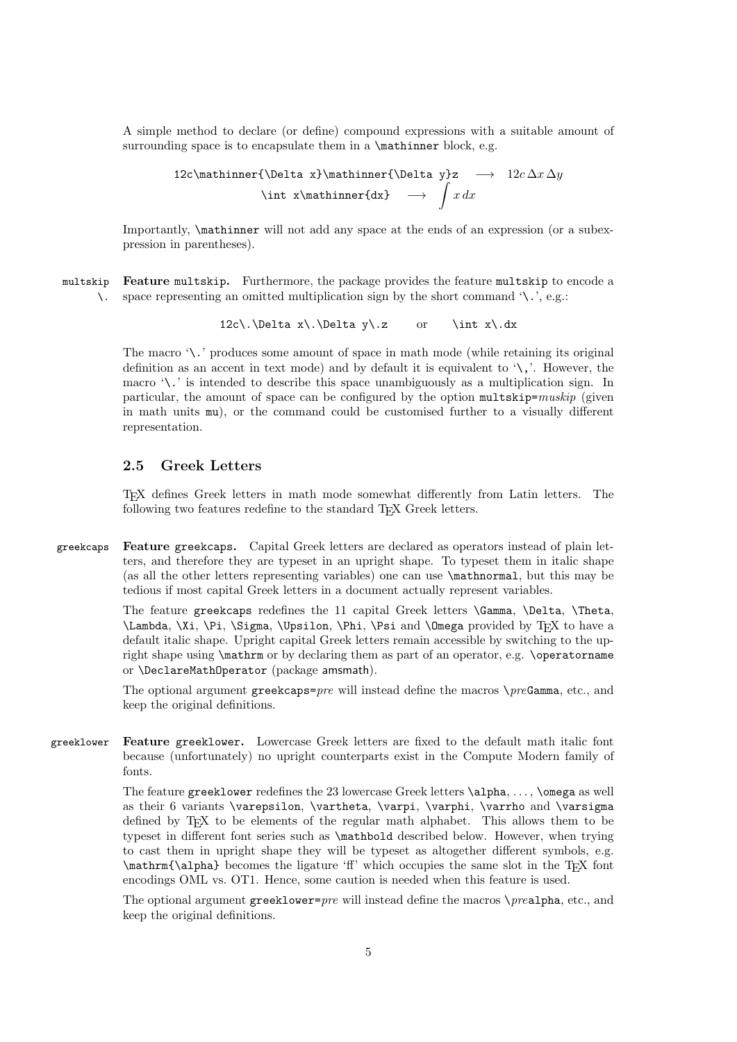A simple method to declare (or define) compound expressions with a suitable amount of surrounding space is to encapsulate them in a \mathinner block, e.g.

12c\mathsf{Delta x}\mathsf{Delta y}z 
$$
\longrightarrow 12c\Delta x\Delta y
$$
  
\nint x\mathsf{dx}  $\longrightarrow$   $x dx$ 

Importantly, \mathinner will not add any space at the ends of an expression (or a subexpression in parentheses).

multskip Feature multskip. Furthermore, the package provides the feature multskip to encode a \. space representing an omitted multiplication sign by the short command '\.', e.g.:

 $12c\.\Delta x\.\Delta y\.z$  or  $\int x\.dx$ 

The macro '\.' produces some amount of space in math mode (while retaining its original definition as an accent in text mode) and by default it is equivalent to  $\langle \cdot, \cdot \rangle$ . However, the macro '\.' is intended to describe this space unambiguously as a multiplication sign. In particular, the amount of space can be configured by the option  $multskip<sub>1</sub>$  particular, the amount of space can be configured by the option multskip= $muskip$  (given in math units mu), or the command could be customised further to a visually different representation.

# <span id="page-4-0"></span>2.5 Greek Letters

TEX defines Greek letters in math mode somewhat differently from Latin letters. The following two features redefine to the standard T<sub>E</sub>X Greek letters.

greekcaps Feature greekcaps. Capital Greek letters are declared as operators instead of plain letters, and therefore they are typeset in an upright shape. To typeset them in italic shape (as all the other letters representing variables) one can use \mathnormal, but this may be tedious if most capital Greek letters in a document actually represent variables.

> The feature greekcaps redefines the 11 capital Greek letters \Gamma, \Delta, \Theta, \Lambda, \Xi, \Pi, \Sigma, \Upsilon, \Phi, \Psi and \Omega provided by TEX to have a default italic shape. Upright capital Greek letters remain accessible by switching to the upright shape using  $\mathrm{m}$  or by declaring them as part of an operator, e.g.  $\mathrm{m}$ or \DeclareMathOperator (package amsmath).

> The optional argument greekcaps= $pre$  will instead define the macros  $\preceq preGamma$ , etc., and keep the original definitions.

greeklower Feature greeklower. Lowercase Greek letters are fixed to the default math italic font because (unfortunately) no upright counterparts exist in the Compute Modern family of fonts.

> The feature greeklower redefines the 23 lowercase Greek letters \alpha, . . . , \omega as well as their 6 variants \varepsilon, \vartheta, \varpi, \varphi, \varrho and \varsigma defined by TFX to be elements of the regular math alphabet. This allows them to be typeset in different font series such as \mathbold described below. However, when trying to cast them in upright shape they will be typeset as altogether different symbols, e.g.  $\mathrm{\alpha}$  becomes the ligature 'ff' which occupies the same slot in the TEX font encodings OML vs. OT1. Hence, some caution is needed when this feature is used.

> The optional argument greeklower= $pre$  will instead define the macros  $\preceq$   $pre$ alpha, etc., and keep the original definitions.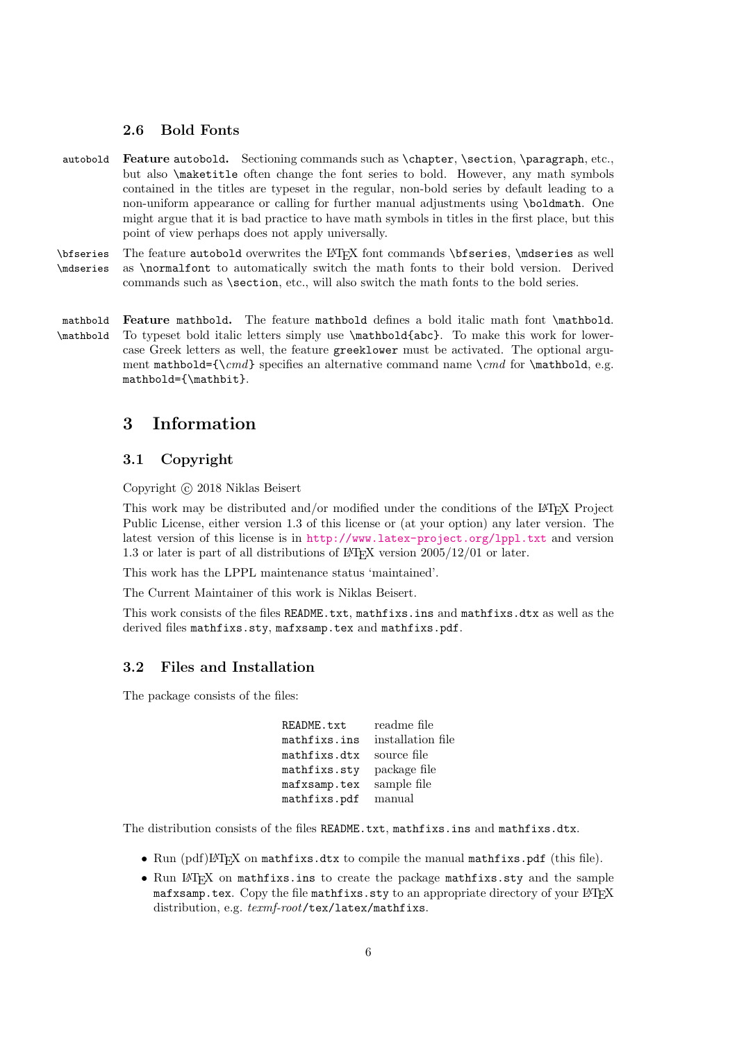### <span id="page-5-0"></span>2.6 Bold Fonts

autobold Feature autobold. Sectioning commands such as \chapter, \section, \paragraph, etc., but also \maketitle often change the font series to bold. However, any math symbols contained in the titles are typeset in the regular, non-bold series by default leading to a non-uniform appearance or calling for further manual adjustments using \boldmath. One might argue that it is bad practice to have math symbols in titles in the first place, but this point of view perhaps does not apply universally.

\bfseries The feature autobold overwrites the LATEX font commands \bfseries, \mdseries as well \mdseries as \normalfont to automatically switch the math fonts to their bold version. Derived as **\normalfont** to automatically switch the math fonts to their bold version. Derived commands such as \section, etc., will also switch the math fonts to the bold series.

mathbold Feature mathbold. The feature mathbold defines a bold italic math font \mathbold. \mathbold To typeset bold italic letters simply use \mathbold{abc}. To make this work for lowercase Greek letters as well, the feature greeklower must be activated. The optional argument mathbold={\cmd} specifies an alternative command name \cmd for \mathbold, e.g. mathbold={\mathbit}.

# <span id="page-5-1"></span>3 Information

# <span id="page-5-2"></span>3.1 Copyright

Copyright © 2018 Niklas Beisert

This work may be distributed and/or modified under the conditions of the LATEX Project Public License, either version 1.3 of this license or (at your option) any later version. The latest version of this license is in <http://www.latex-project.org/lppl.txt> and version 1.3 or later is part of all distributions of LAT<sub>EX</sub> version  $2005/12/01$  or later.

This work has the LPPL maintenance status 'maintained'.

The Current Maintainer of this work is Niklas Beisert.

This work consists of the files README.txt, mathfixs.ins and mathfixs.dtx as well as the derived files mathfixs.sty, mafxsamp.tex and mathfixs.pdf.

### <span id="page-5-3"></span>3.2 Files and Installation

The package consists of the files:

| readme file       |
|-------------------|
| installation file |
| source file       |
| package file      |
| sample file       |
| manual            |
|                   |

The distribution consists of the files README.txt, mathfixs.ins and mathfixs.dtx.

- Run (pdf)LHFX on mathfixs.dtx to compile the manual mathfixs.pdf (this file).
- Run  $\mathbb{F}$ T<sub>E</sub>X on mathfixs.ins to create the package mathfixs.sty and the sample mafxsamp.tex. Copy the file mathfixs.sty to an appropriate directory of your LATEX distribution, e.g.  $text$ -root/tex/latex/mathfixs.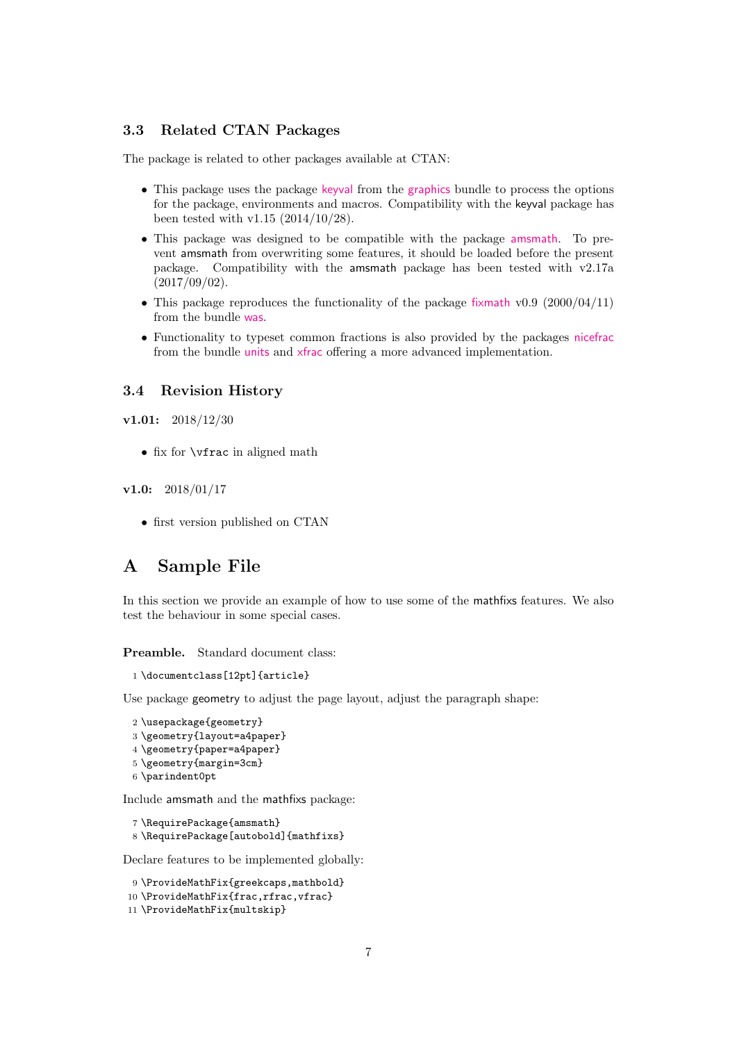# <span id="page-6-0"></span>3.3 Related CTAN Packages

The package is related to other packages available at CTAN:

- This package uses the package [keyval](http://ctan.org/pkg/keyval) from the [graphics](http://ctan.org/pkg/latex-graphics) bundle to process the options for the package, environments and macros. Compatibility with the keyval package has been tested with v1.15 (2014/10/28).
- This package was designed to be compatible with the package [amsmath](http://ctan.org/pkg/amsmath). To prevent amsmath from overwriting some features, it should be loaded before the present package. Compatibility with the amsmath package has been tested with v2.17a  $(2017/09/02).$
- This package reproduces the functionality of the package [fixmath](http://ctan.org/pkg/fixmath) v0.9 (2000/04/11) from the bundle [was](http://ctan.org/pkg/was).
- Functionality to typeset common fractions is also provided by the packages [nicefrac](http://ctan.org/pkg/nicefrac) from the bundle [units](http://ctan.org/pkg/units) and [xfrac](http://ctan.org/pkg/xfrac) offering a more advanced implementation.

### <span id="page-6-1"></span>3.4 Revision History

v1.01: 2018/12/30

• fix for \vfrac in aligned math

#### $v1.0: 2018/01/17$

• first version published on CTAN

# <span id="page-6-2"></span>A Sample File

In this section we provide an example of how to use some of the mathfixs features. We also test the behaviour in some special cases.

Preamble. Standard document class:

1 \documentclass[12pt]{article}

Use package geometry to adjust the page layout, adjust the paragraph shape:

```
2 \usepackage{geometry}
3 \geometry{layout=a4paper}
4 \geometry{paper=a4paper}
5 \geometry{margin=3cm}
6 \parindent0pt
```
Include amsmath and the mathfixs package:

```
7 \RequirePackage{amsmath}
8 \RequirePackage[autobold]{mathfixs}
```
Declare features to be implemented globally:

9 \ProvideMathFix{greekcaps,mathbold} 10 \ProvideMathFix{frac,rfrac,vfrac} 11 \ProvideMathFix{multskip}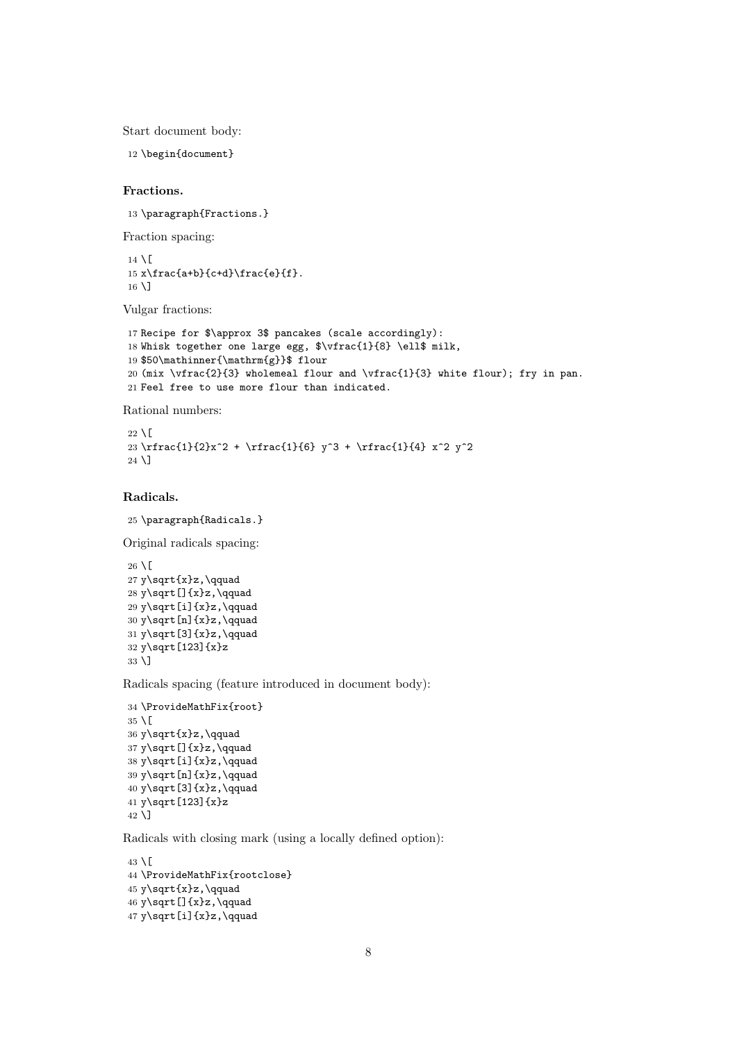Start document body:

12 \begin{document}

#### Fractions.

13 \paragraph{Fractions.}

Fraction spacing:

 $14 \mid$  $15 x\frac{a+b}{c+d}\frac{e}{f}.$  $16 \text{ }\Upsilon$ 

Vulgar fractions:

```
17 Recipe for $\approx 3$ pancakes (scale accordingly):
18 Whisk together one large egg, $\vfrac{1}{8} \ell$ milk,
19 $50\mathinner{\mathrm{g}}$ flour
20 (mix \vfrac{2}{3} wholemeal flour and \vfrac{1}{3} white flour); fry in pan.
21 Feel free to use more flour than indicated.
```
Rational numbers:

```
22 \setminus[
23 \rfrac{1}{2}x^2 + \rfrac{1}{6} y^3 + \rfrac{1}{4} x^2 y^2
24 \backslash
```
## Radicals.

```
25 \paragraph{Radicals.}
```
Original radicals spacing:

```
26 \setminus[
27 y\sqrt{x}z, \qquad28 y\sqrt[]{x}z,\qquad
29 y \sqrt[i]{x}z, \qquad
30 y\sqrt[n]{x}z,\qquad
31 y\sqrt[3]{x}z,\qquad
32 y\sqrt[123]{x}z
33 \]
```
Radicals spacing (feature introduced in document body):

```
34 \ProvideMathFix{root}
35 \mid[
36 y\sqrt{x}z,\qquad
37 y\sqrt[]{x}z,\qquad
38 y\sqrt[i]{x}z,\qquad
39 y\sqrt[n]{x}z,\qquad
40 y\sqrt[3]{x}z,\qquad
41 y\sqrt[123]{x}z
42 \backslash]
```
Radicals with closing mark (using a locally defined option):

```
43 \backslash[
44 \ProvideMathFix{rootclose}
45 \text{ y\sqrt{x}z, \qquad}46 y\sqrt[]{x}z,\qquad
47 y\sqrt[i]{x}z,\qquad
```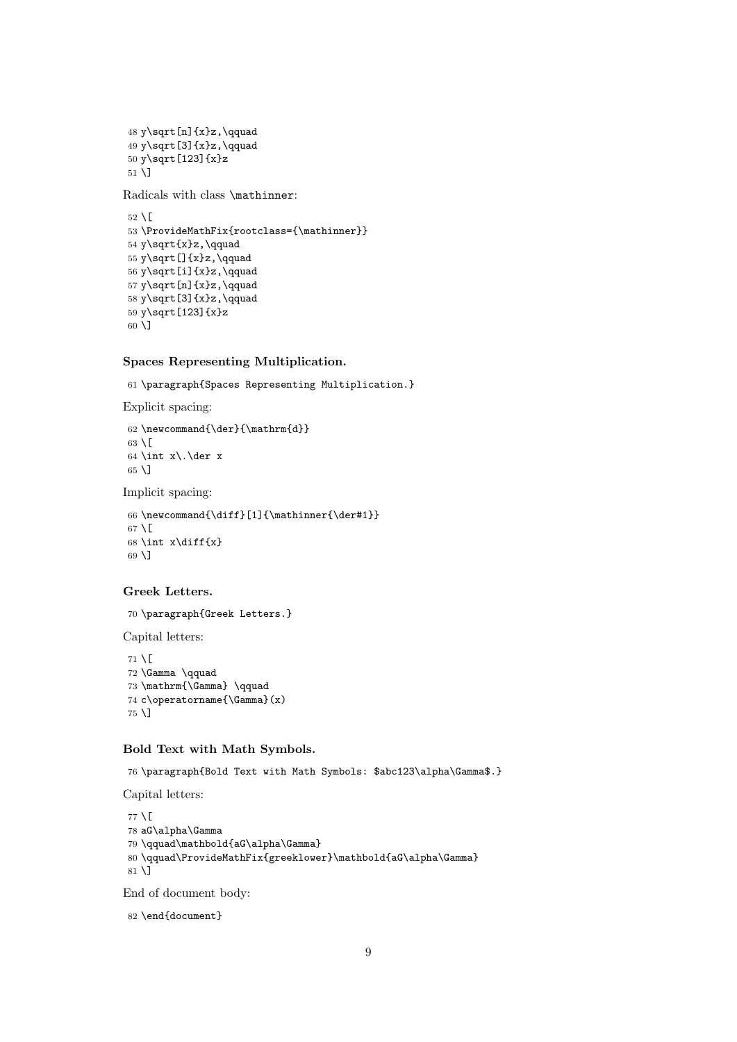```
48 y\sqrt[n]{x}z,\qquad
49 y\sqrt[3]{x}z,\qquad
50 y\sqrt[123]{x}z
51 \overline{1}
```
Radicals with class \mathinner:

```
52 \mid[
53 \ProvideMathFix{rootclass={\mathinner}}
54 y\sqrt{x}z,\qquad
55 y\sqrt[]{x}z,\qquad
56 y\sqrt[i]{x}z,\qquad
57 y\sqrt[n]{x}z,\qquad
58 y\sqrt[3]{x}z,\qquad
59 y\sqrt[123]{x}z
60 \]
```
## Spaces Representing Multiplication.

61 \paragraph{Spaces Representing Multiplication.}

Explicit spacing:

```
62 \newcommand{\der}{\mathrm{d}}
63 \setminus [
64 \int x\.\der x
65 \sqrt{ }
```
Implicit spacing:

66 \newcommand{\diff}[1]{\mathinner{\der#1}}  $67 \setminus$ [ 68 \int x\diff{x} 69 \]

### Greek Letters.

70 \paragraph{Greek Letters.}

Capital letters:

 $71 \setminus$ [ 72 \Gamma \qquad 73 \mathrm{\Gamma} \qquad 74 c\operatorname{\Gamma}(x) 75 \]

#### Bold Text with Math Symbols.

76 \paragraph{Bold Text with Math Symbols: \$abc123\alpha\Gamma\$.}

Capital letters:

```
77 \mid78 aG\alpha\Gamma
79 \qquad\mathbold{aG\alpha\Gamma}
80 \qquad\ProvideMathFix{greeklower}\mathbold{aG\alpha\Gamma}
81 \]
```
End of document body:

```
82 \end{document}
```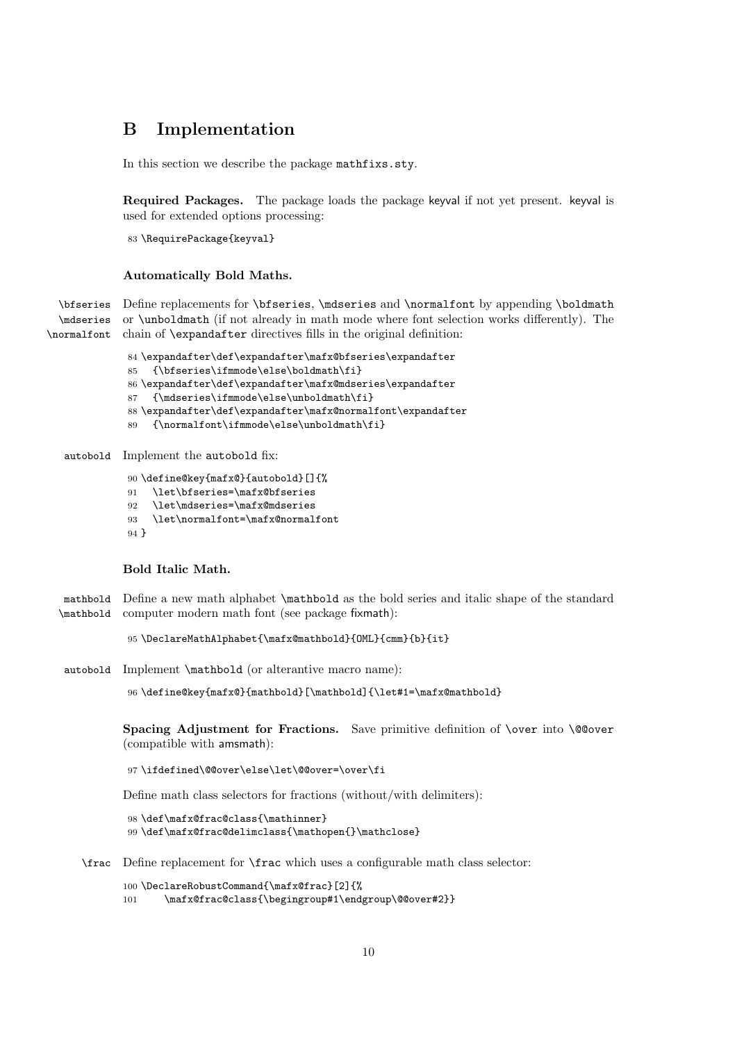# <span id="page-9-0"></span>B Implementation

In this section we describe the package mathfixs.sty.

Required Packages. The package loads the package keyval if not yet present. keyval is used for extended options processing:

83 \RequirePackage{keyval}

#### Automatically Bold Maths.

\bfseries Define replacements for \bfseries, \mdseries and \normalfont by appending \boldmath \mdseries \normalfont chain of \expandafter directives fills in the original definition: or \unboldmath (if not already in math mode where font selection works differently). The

> \expandafter\def\expandafter\mafx@bfseries\expandafter {\bfseries\ifmmode\else\boldmath\fi} \expandafter\def\expandafter\mafx@mdseries\expandafter {\mdseries\ifmmode\else\unboldmath\fi} \expandafter\def\expandafter\mafx@normalfont\expandafter {\normalfont\ifmmode\else\unboldmath\fi}

autobold Implement the autobold fix:

```
90 \define@key{mafx@}{autobold}[]{%
```

```
91 \let\bfseries=\mafx@bfseries
```
- 92 \let\mdseries=\mafx@mdseries
- 93 \let\normalfont=\mafx@normalfont

94 }

### Bold Italic Math.

mathbold Define a new math alphabet \mathbold as the bold series and italic shape of the standard \mathbold computer modern math font (see package fixmath):

95 \DeclareMathAlphabet{\mafx@mathbold}{OML}{cmm}{b}{it}

autobold Implement \mathbold (or alterantive macro name):

96 \define@key{mafx@}{mathbold}[\mathbold]{\let#1=\mafx@mathbold}

Spacing Adjustment for Fractions. Save primitive definition of \over into \@@over (compatible with amsmath):

97 \ifdefined\@@over\else\let\@@over=\over\fi

Define math class selectors for fractions (without/with delimiters):

```
98 \def\mafx@frac@class{\mathinner}
99 \def\mafx@frac@delimclass{\mathopen{}\mathclose}
```
\frac Define replacement for \frac which uses a configurable math class selector:

```
100 \DeclareRobustCommand{\mafx@frac}[2]{%
```

```
101 \mafx@frac@class{\begingroup#1\endgroup\@@over#2}}
```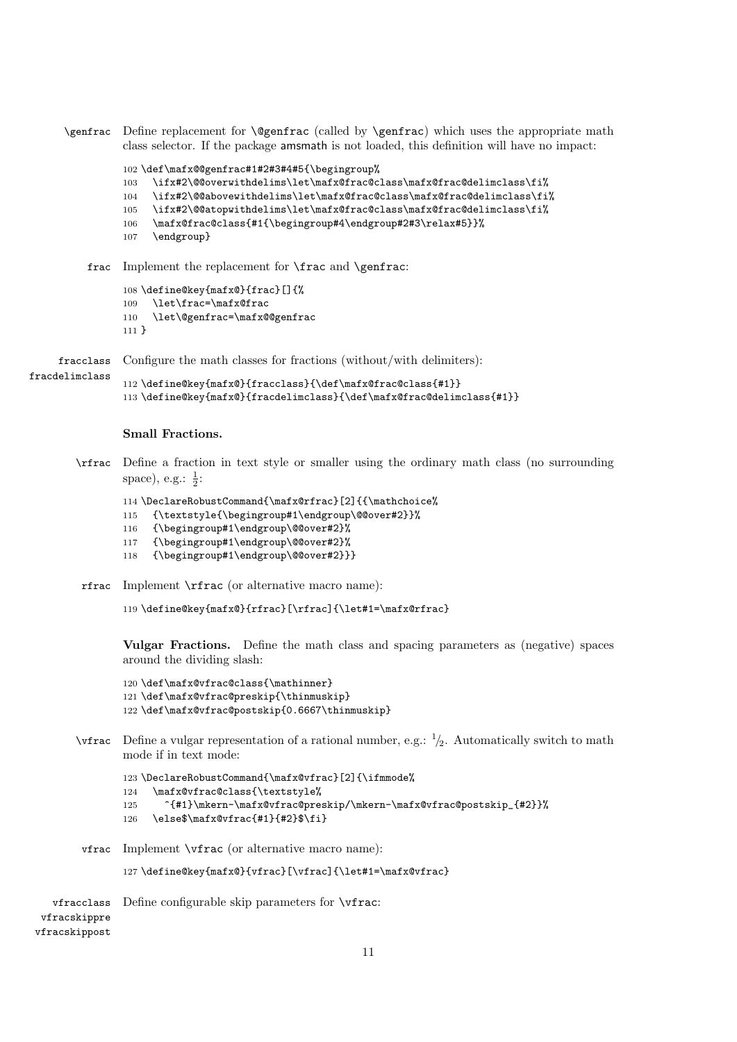```
\genfrac Define replacement for \@genfrac (called by \genfrac) which uses the appropriate math
          class selector. If the package amsmath is not loaded, this definition will have no impact:
```

```
102 \def\mafx@@genfrac#1#2#3#4#5{\begingroup%
103 \ifx#2\@@overwithdelims\let\mafx@frac@class\mafx@frac@delimclass\fi%
104 \ifx#2\@@abovewithdelims\let\mafx@frac@class\mafx@frac@delimclass\fi%
105 \ifx#2\@@atopwithdelims\let\mafx@frac@class\mafx@frac@delimclass\fi%
```
- 106 \mafx@frac@class{#1{\begingroup#4\endgroup#2#3\relax#5}}%
- 107 \endgroup}

frac Implement the replacement for \frac and \genfrac:

```
108 \define@key{mafx@}{frac}[]{%
109 \let\frac=\mafx@frac
110 \let\@genfrac=\mafx@@genfrac
```
111 }

fracdelimclass

fracclass Configure the math classes for fractions (without/with delimiters):

```
112 \define@key{mafx@}{fracclass}{\def\mafx@frac@class{#1}}
113 \define@key{mafx@}{fracdelimclass}{\def\mafx@frac@delimclass{#1}}
```
#### Small Fractions.

\rfrac Define a fraction in text style or smaller using the ordinary math class (no surrounding space), e.g.:  $\frac{1}{2}$ :

```
114 \DeclareRobustCommand{\mafx@rfrac}[2]{{\mathchoice%
```

```
115 {\textstyle{\begingroup#1\endgroup\@@over#2}}%
```

```
116 {\begingroup#1\endgroup\@@over#2}%
```

```
117 {\begingroup#1\endgroup\@@over#2}%
```
- 118 {\begingroup#1\endgroup\@@over#2}}}
- rfrac Implement \rfrac (or alternative macro name):

```
119 \define@key{mafx@}{rfrac}[\rfrac]{\let#1=\mafx@rfrac}
```
Vulgar Fractions. Define the math class and spacing parameters as (negative) spaces around the dividing slash:

```
120 \def\mafx@vfrac@class{\mathinner}
121 \def\mafx@vfrac@preskip{\thinmuskip}
122 \def\mafx@vfrac@postskip{0.6667\thinmuskip}
```
 $\forall$  vertrac Define a vulgar representation of a rational number, e.g.:  $\frac{1}{2}$ . Automatically switch to math mode if in text mode:

```
123 \DeclareRobustCommand{\mafx@vfrac}[2]{\ifmmode%
124 \mafx@vfrac@class{\textstyle%
125 ^{#1}\mkern-\mafx@vfrac@preskip/\mkern-\mafx@vfrac@postskip_{#2}}%
126 \else$\mafx@vfrac{#1}{#2}$\fi}
```
vfrac Implement \vfrac (or alternative macro name):

```
127 \define@key{mafx@}{vfrac}[\vfrac]{\let#1=\mafx@vfrac}
```

```
vfracclass
Define configurable skip parameters for \vfrac:
 vfracskippre
vfracskippost
```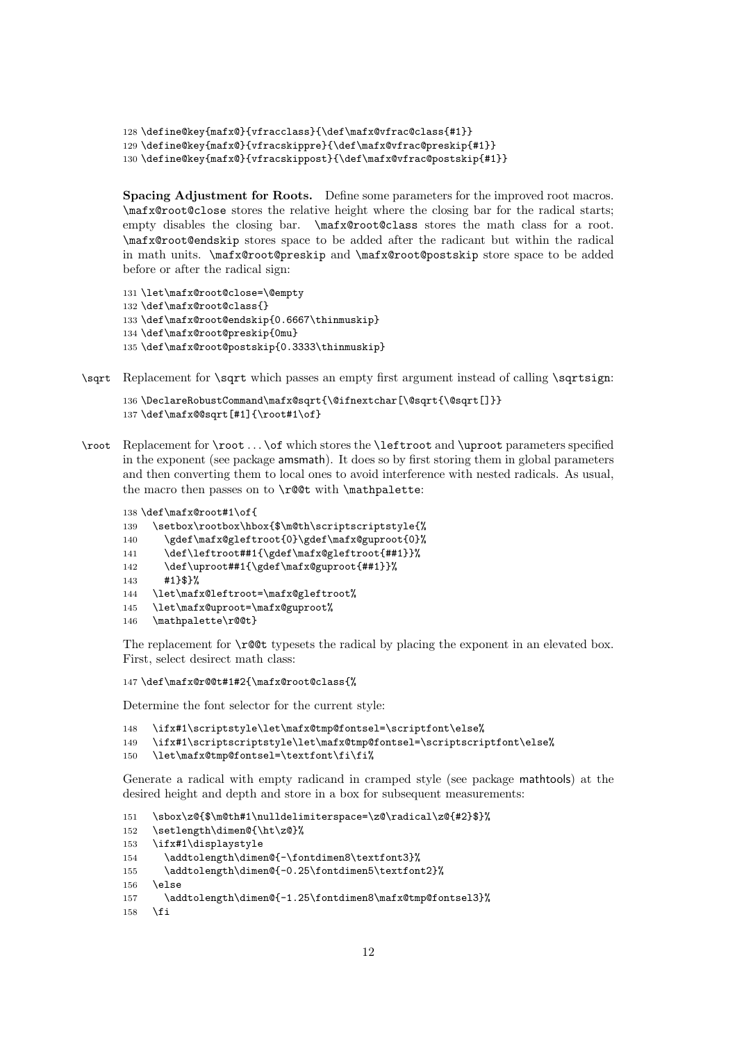```
128 \define@key{mafx@}{vfracclass}{\def\mafx@vfrac@class{#1}}
129 \define@key{mafx@}{vfracskippre}{\def\mafx@vfrac@preskip{#1}}
130 \define@key{mafx@}{vfracskippost}{\def\mafx@vfrac@postskip{#1}}
```
Spacing Adjustment for Roots. Define some parameters for the improved root macros. \mafx@root@close stores the relative height where the closing bar for the radical starts; empty disables the closing bar. \mafx@root@class stores the math class for a root. \mafx@root@endskip stores space to be added after the radicant but within the radical in math units. \mafx@root@preskip and \mafx@root@postskip store space to be added before or after the radical sign:

```
131 \let\mafx@root@close=\@empty
132 \def\mafx@root@class{}
133 \def\mafx@root@endskip{0.6667\thinmuskip}
134 \def\mafx@root@preskip{0mu}
135 \def\mafx@root@postskip{0.3333\thinmuskip}
```
\sqrt Replacement for \sqrt which passes an empty first argument instead of calling \sqrtsign:

```
136 \DeclareRobustCommand\mafx@sqrt{\@ifnextchar[\@sqrt{\@sqrt[]}}
137 \def\mafx@@sqrt[#1]{\root#1\of}
```
\root Replacement for \root . . . \of which stores the \leftroot and \uproot parameters specified in the exponent (see package amsmath). It does so by first storing them in global parameters and then converting them to local ones to avoid interference with nested radicals. As usual, the macro then passes on to \r@@t with \mathpalette:

```
138 \def\mafx@root#1\of{
139 \setbox\rootbox\hbox{$\m@th\scriptscriptstyle{%
140 \gdef\mafx@gleftroot{0}\gdef\mafx@guproot{0}%
141 \def\leftroot##1{\gdef\mafx@gleftroot{##1}}%
142 \def\uproot##1{\gdef\mafx@guproot{##1}}%
143 #1}$}%
144 \let\mafx@leftroot=\mafx@gleftroot%
145 \let\mafx@uproot=\mafx@guproot%
146 \mathpalette\r@@t}
```
The replacement for  $\rhd$  **TCC** typesets the radical by placing the exponent in an elevated box. First, select desirect math class:

147 \def\mafx@r@@t#1#2{\mafx@root@class{%

Determine the font selector for the current style:

```
148 \ifx#1\scriptstyle\let\mafx@tmp@fontsel=\scriptfont\else%
149 \ifx#1\scriptscriptstyle\let\mafx@tmp@fontsel=\scriptscriptfont\else%
150 \let\mafx@tmp@fontsel=\textfont\fi\fi%
```
Generate a radical with empty radicand in cramped style (see package mathtools) at the desired height and depth and store in a box for subsequent measurements:

```
151 \sbox\z@{$\m@th#1\nulldelimiterspace=\z@\radical\z@{#2}$}%
152 \setlength\dimen@{\ht\z@}%
153 \ifx#1\displaystyle
154 \addtolength\dimen@{-\fontdimen8\textfont3}%
155 \addtolength\dimen@{-0.25\fontdimen5\textfont2}%
156 \else
157 \addtolength\dimen@{-1.25\fontdimen8\mafx@tmp@fontsel3}%
158 \fi
```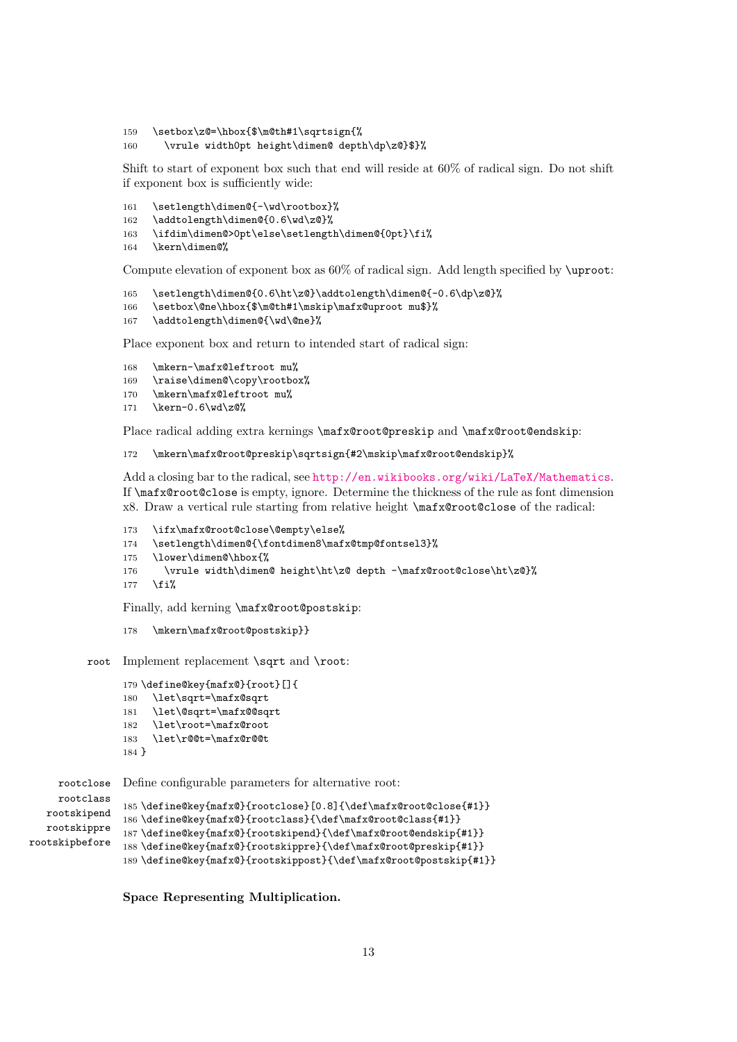- 159 \setbox\z@=\hbox{\$\m@th#1\sqrtsign{%
- 160 \vrule width0pt height\dimen@ depth\dp\z@}\$}%

Shift to start of exponent box such that end will reside at 60% of radical sign. Do not shift if exponent box is sufficiently wide:

- 161 \setlength\dimen@{-\wd\rootbox}%
- 162 \addtolength\dimen@{0.6\wd\z@}%
- 163 \ifdim\dimen@>0pt\else\setlength\dimen@{0pt}\fi%
- 164 \kern\dimen@%

Compute elevation of exponent box as  $60\%$  of radical sign. Add length specified by \uproot:

```
165 \setlength\dimen@{0.6\ht\z@}\addtolength\dimen@{-0.6\dp\z@}%
```
- 166 \setbox\@ne\hbox{\$\m@th#1\mskip\mafx@uproot mu\$}%
- 167 \addtolength\dimen@{\wd\@ne}%

Place exponent box and return to intended start of radical sign:

```
168 \mkern-\mafx@leftroot mu%
```
- 169 \raise\dimen@\copy\rootbox%
- 170 \mkern\mafx@leftroot mu%
- 171 \kern-0.6\wd\z@%

Place radical adding extra kernings \mafx@root@preskip and \mafx@root@endskip:

```
172 \mkern\mafx@root@preskip\sqrtsign{#2\mskip\mafx@root@endskip}%
```
Add a closing bar to the radical, see <http://en.wikibooks.org/wiki/LaTeX/Mathematics>. If \mafx@root@close is empty, ignore. Determine the thickness of the rule as font dimension x8. Draw a vertical rule starting from relative height \mafx@root@close of the radical:

```
173 \ifx\mafx@root@close\@empty\else%
```
- 174 \setlength\dimen@{\fontdimen8\mafx@tmp@fontsel3}%
- 175 \lower\dimen@\hbox{%
- 176 \vrule width\dimen@ height\ht\z@ depth -\mafx@root@close\ht\z@}%

```
177 \fi%
```
Finally, add kerning \mafx@root@postskip:

```
178 \mkern\mafx@root@postskip}}
```
root Implement replacement \sqrt and \root:

```
179 \define@key{mafx@}{root}[]{
180 \let\sqrt=\mafx@sqrt
181 \let\@sqrt=\mafx@@sqrt
182 \let\root=\mafx@root
183 \let\r@@t=\mafx@r@@t
184 }
```
rootclose Define configurable parameters for alternative root: rootclass

```
rootskipend
   rootskippre
rootskipbefore
                185 \define@key{mafx@}{rootclose}[0.8]{\def\mafx@root@close{#1}}
                186 \define@key{mafx@}{rootclass}{\def\mafx@root@class{#1}}
                187 \define@key{mafx@}{rootskipend}{\def\mafx@root@endskip{#1}}
                188 \define@key{mafx@}{rootskippre}{\def\mafx@root@preskip{#1}}
                189 \define@key{mafx@}{rootskippost}{\def\mafx@root@postskip{#1}}
```
Space Representing Multiplication.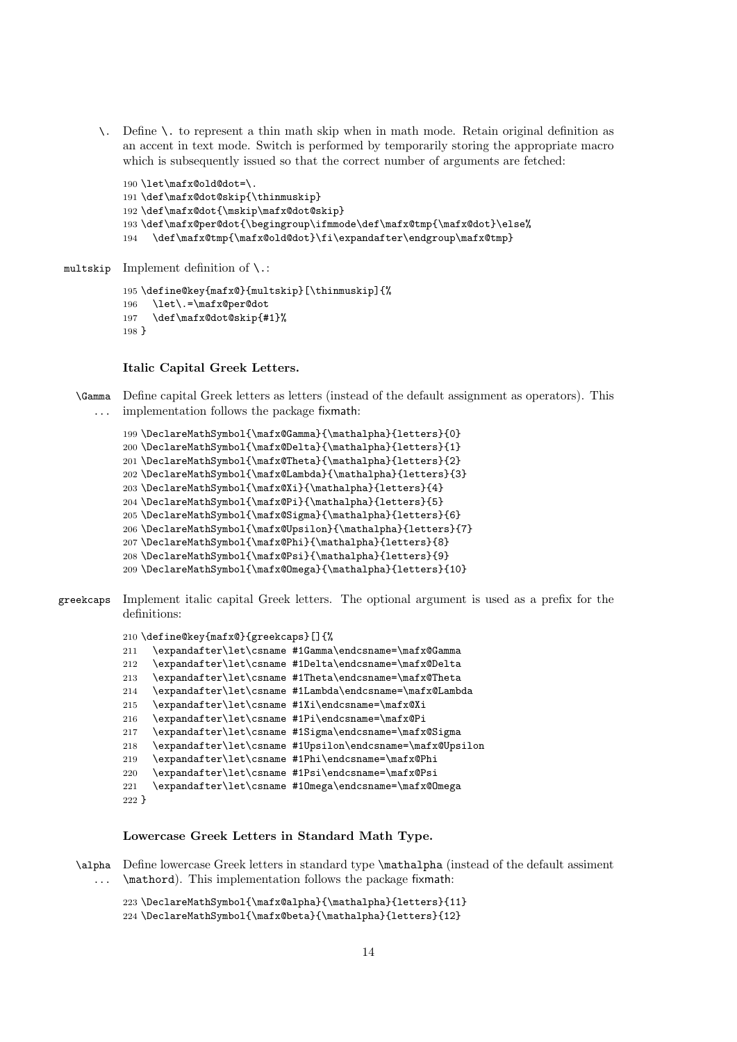\. Define \. to represent a thin math skip when in math mode. Retain original definition as an accent in text mode. Switch is performed by temporarily storing the appropriate macro which is subsequently issued so that the correct number of arguments are fetched:

```
190 \let\mafx@old@dot=\.
191 \def\mafx@dot@skip{\thinmuskip}
192 \def\mafx@dot{\mskip\mafx@dot@skip}
193\def\mafx@per@dot{\begingroup\ifmmode\def\mafx@tmp{\mafx@dot}\else%
194 \def\mafx@tmp{\mafx@old@dot}\fi\expandafter\endgroup\mafx@tmp}
```
multskip Implement definition of \.:

```
195 \define@key{mafx@}{multskip}[\thinmuskip]{%
196 \let\.=\mafx@per@dot
197 \def\mafx@dot@skip{#1}%
198 }
```
#### Italic Capital Greek Letters.

\Gamma Define capital Greek letters as letters (instead of the default assignment as operators). This ... implementation follows the package fixmath:

```
199 \DeclareMathSymbol{\mafx@Gamma}{\mathalpha}{letters}{0}
200 \DeclareMathSymbol{\mafx@Delta}{\mathalpha}{letters}{1}
201 \DeclareMathSymbol{\mafx@Theta}{\mathalpha}{letters}{2}
202 \DeclareMathSymbol{\mafx@Lambda}{\mathalpha}{letters}{3}
203 \DeclareMathSymbol{\mafx@Xi}{\mathalpha}{letters}{4}
204 \DeclareMathSymbol{\mafx@Pi}{\mathalpha}{letters}{5}
205 \DeclareMathSymbol{\mafx@Sigma}{\mathalpha}{letters}{6}
206 \DeclareMathSymbol{\mafx@Upsilon}{\mathalpha}{letters}{7}
207 \DeclareMathSymbol{\mafx@Phi}{\mathalpha}{letters}{8}
208 \DeclareMathSymbol{\mafx@Psi}{\mathalpha}{letters}{9}
209 \DeclareMathSymbol{\mafx@Omega}{\mathalpha}{letters}{10}
```

```
greekcaps Implement italic capital Greek letters. The optional argument is used as a prefix for the
           definitions:
```

```
210 \define@key{mafx@}{greekcaps}[]{%
```

```
211 \expandafter\let\csname #1Gamma\endcsname=\mafx@Gamma
212 \expandafter\let\csname #1Delta\endcsname=\mafx@Delta
213 \expandafter\let\csname #1Theta\endcsname=\mafx@Theta
214 \expandafter\let\csname #1Lambda\endcsname=\mafx@Lambda
215 \expandafter\let\csname #1Xi\endcsname=\mafx@Xi
216 \expandafter\let\csname #1Pi\endcsname=\mafx@Pi
217 \expandafter\let\csname #1Sigma\endcsname=\mafx@Sigma
218 \expandafter\let\csname #1Upsilon\endcsname=\mafx@Upsilon
219 \expandafter\let\csname #1Phi\endcsname=\mafx@Phi
220 \expandafter\let\csname #1Psi\endcsname=\mafx@Psi
221 \expandafter\let\csname #1Omega\endcsname=\mafx@Omega
222 }
```
### Lowercase Greek Letters in Standard Math Type.

\alpha Define lowercase Greek letters in standard type \mathalpha (instead of the default assiment ... \mathord). This implementation follows the package fixmath:

 \DeclareMathSymbol{\mafx@alpha}{\mathalpha}{letters}{11} \DeclareMathSymbol{\mafx@beta}{\mathalpha}{letters}{12}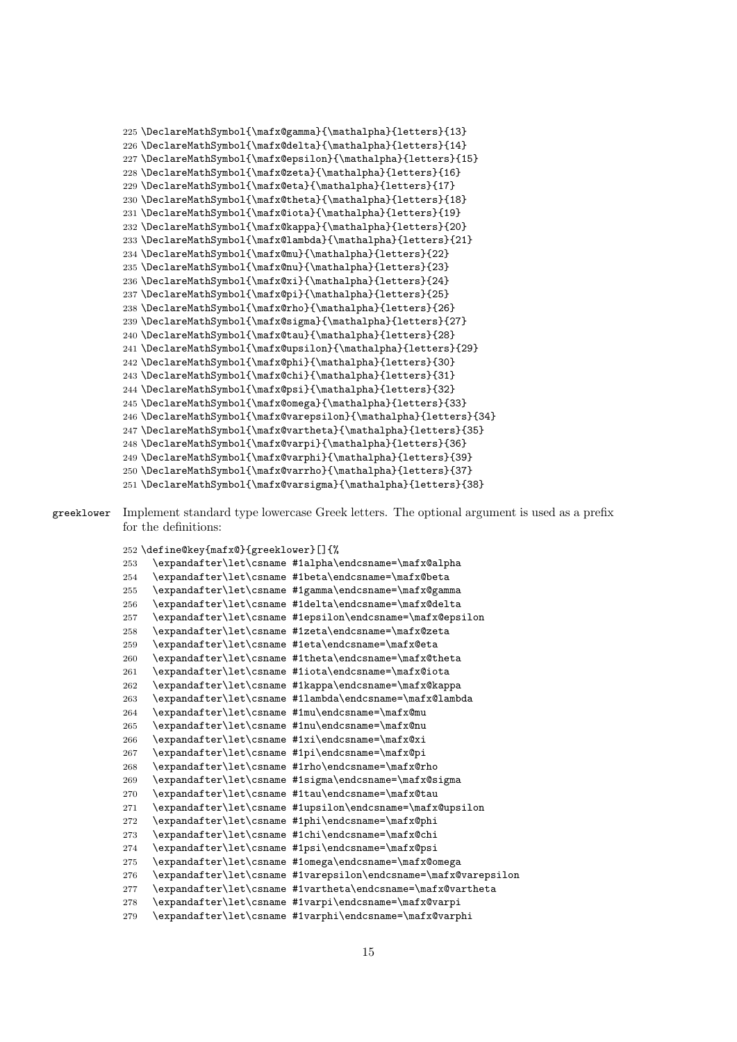```
225 \DeclareMathSymbol{\mafx@gamma}{\mathalpha}{letters}{13}
226 \DeclareMathSymbol{\mafx@delta}{\mathalpha}{letters}{14}
227 \DeclareMathSymbol{\mafx@epsilon}{\mathalpha}{letters}{15}
228 \DeclareMathSymbol{\mafx@zeta}{\mathalpha}{letters}{16}
229 \DeclareMathSymbol{\mafx@eta}{\mathalpha}{letters}{17}
230 \DeclareMathSymbol{\mafx@theta}{\mathalpha}{letters}{18}
231 \DeclareMathSymbol{\mafx@iota}{\mathalpha}{letters}{19}
232 \DeclareMathSymbol{\mafx@kappa}{\mathalpha}{letters}{20}
233 \DeclareMathSymbol{\mafx@lambda}{\mathalpha}{letters}{21}
234 \DeclareMathSymbol{\mafx@mu}{\mathalpha}{letters}{22}
235 \DeclareMathSymbol{\mafx@nu}{\mathalpha}{letters}{23}
236 \DeclareMathSymbol{\mafx@xi}{\mathalpha}{letters}{24}
237 \DeclareMathSymbol{\mafx@pi}{\mathalpha}{letters}{25}
238 \DeclareMathSymbol{\mafx@rho}{\mathalpha}{letters}{26}
239 \DeclareMathSymbol{\mafx@sigma}{\mathalpha}{letters}{27}
240 \DeclareMathSymbol{\mafx@tau}{\mathalpha}{letters}{28}
241 \DeclareMathSymbol{\mafx@upsilon}{\mathalpha}{letters}{29}
242 \DeclareMathSymbol{\mafx@phi}{\mathalpha}{letters}{30}
243 \DeclareMathSymbol{\mafx@chi}{\mathalpha}{letters}{31}
244 \DeclareMathSymbol{\mafx@psi}{\mathalpha}{letters}{32}
245 \DeclareMathSymbol{\mafx@omega}{\mathalpha}{letters}{33}
246 \DeclareMathSymbol{\mafx@varepsilon}{\mathalpha}{letters}{34}
247 \DeclareMathSymbol{\mafx@vartheta}{\mathalpha}{letters}{35}
248 \DeclareMathSymbol{\mafx@varpi}{\mathalpha}{letters}{36}
249 \DeclareMathSymbol{\mafx@varphi}{\mathalpha}{letters}{39}
250 \DeclareMathSymbol{\mafx@varrho}{\mathalpha}{letters}{37}
251 \DeclareMathSymbol{\mafx@varsigma}{\mathalpha}{letters}{38}
```
greeklower Implement standard type lowercase Greek letters. The optional argument is used as a prefix for the definitions:

\define@key{mafx@}{greeklower}[]{%

```
253 \expandafter\let\csname #1alpha\endcsname=\mafx@alpha
254 \expandafter\let\csname #1beta\endcsname=\mafx@beta
255 \expandafter\let\csname #1gamma\endcsname=\mafx@gamma
256 \expandafter\let\csname #1delta\endcsname=\mafx@delta
257 \expandafter\let\csname #1epsilon\endcsname=\mafx@epsilon
258 \expandafter\let\csname #1zeta\endcsname=\mafx@zeta
259 \expandafter\let\csname #1eta\endcsname=\mafx@eta
260 \expandafter\let\csname #1theta\endcsname=\mafx@theta
261 \expandafter\let\csname #1iota\endcsname=\mafx@iota
262 \expandafter\let\csname #1kappa\endcsname=\mafx@kappa
263 \expandafter\let\csname #1lambda\endcsname=\mafx@lambda
264 \expandafter\let\csname #1mu\endcsname=\mafx@mu
265 \expandafter\let\csname #1nu\endcsname=\mafx@nu
266 \expandafter\let\csname #1xi\endcsname=\mafx@xi
267 \expandafter\let\csname #1pi\endcsname=\mafx@pi
268 \expandafter\let\csname #1rho\endcsname=\mafx@rho
269 \expandafter\let\csname #1sigma\endcsname=\mafx@sigma
270 \expandafter\let\csname #1tau\endcsname=\mafx@tau
271 \expandafter\let\csname #1upsilon\endcsname=\mafx@upsilon
272 \expandafter\let\csname #1phi\endcsname=\mafx@phi
273 \expandafter\let\csname #1chi\endcsname=\mafx@chi
274 \expandafter\let\csname #1psi\endcsname=\mafx@psi
275 \expandafter\let\csname #1omega\endcsname=\mafx@omega
276 \expandafter\let\csname #1varepsilon\endcsname=\mafx@varepsilon
277 \expandafter\let\csname #1vartheta\endcsname=\mafx@vartheta
278 \expandafter\let\csname #1varpi\endcsname=\mafx@varpi
279 \expandafter\let\csname #1varphi\endcsname=\mafx@varphi
```